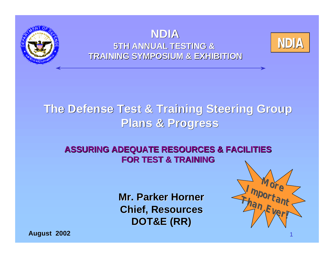



#### **NDIA 5TH ANNUAL TESTING & TRAINING SYMPOSIUM & EXHIBITION**

### **The Defense Test & Training Steering Group Plans & Progress**

#### **ASSURING ADEQUATE RESOURCES & FACILITIES FOR TEST & TRAINING**

**Mr. Parker Horner Chief, Resources DOT&E (RR)**



1

**August 2002**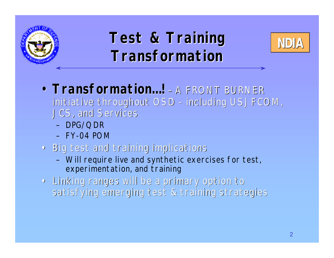

## **Test & Training Rest & Training Transformation**



- *Transformation…!* A FRONT BURNER initiative throughout OSD - including USJFCOM, JCS, and Services
	- DPG/QDR
	- FY-04 POM
- Big test and training implications
	- Will require live and synthetic exercises for test, experimentation, and training
- Linking ranges will be a primary option to satisfying emerging test & training strategies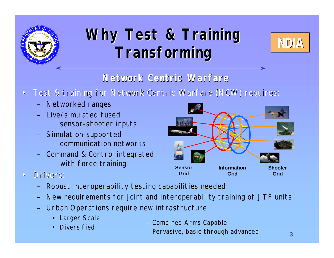

# **Why Test & Training FINDIA Transforming**



#### **Network Centric Warfare**

- Test & training for Network Centric Warfare (NCW) requires:
	- Networked ranges
	- Live/simulated fused sensor-shooter inputs
	- Simulation-supported communication networks
	- Command & Control integrated with force training
- Drivers:
	- Robust interoperability testing capabilities needed
	- New requirements for joint and interoperability training of JTF units
	- Urban Operations require new infrastructure
		- Larger Scale
		- **Diversified**
- – *Combined Arms Capable*
- – *Pervasive, basic through advanced*

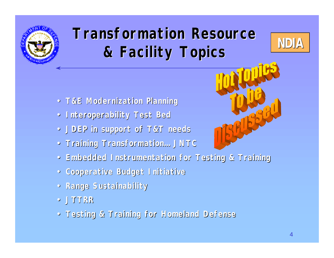

# **Transformation Resource & Facility Topics**



- **T&E Modernization Planning**
- **Interoperability Test Bed**
- **JDEP in support of T&T needs**
- **Training Transformation… JNTC**
- **Embedded Instrumentation for Testing & Training**
- **Cooperative Budget Initiative**
- **Range Sustainability**
- **JTTRR**
- **Testing & Training for Homeland Defense**

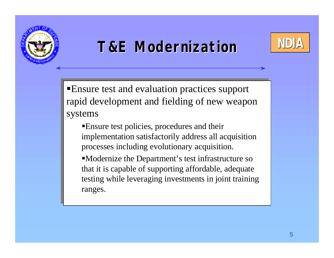

# **T&E Modernization NDIA**



ßEnsure test and evaluation practices support ßEnsure test and evaluation practices support rapid development and fielding of new weapon rapid development and fielding of new weapon systems systems

ßEnsure test policies, procedures and their ßEnsure test policies, procedures and their implementation satisfactorily address all acquisition implementation satisfactorily address all acquisition processes including evolutionary acquisition. processes including evolutionary acquisition.

ßModernize the Department's test infrastructure so ßModernize the Department's test infrastructure so that it is capable of supporting affordable, adequate that it is capable of supporting affordable, adequate testing while leveraging investments in joint training testing while leveraging investments in joint training ranges. ranges.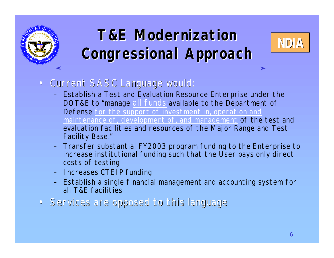

# **T&E Modernization** MDIA **Congressional Approach**



- Current SASC Language would:
	- Establish a Test and Evaluation Resource Enterprise under the DOT&E to "manage all funds available to the Department of Defense for the support of investment in, operation and maintenance of, development of, and management of the test and evaluation facilities and resources of the Major Range and Test Facility Base."
	- Transfer substantial FY2003 program funding to the Enterprise to increase institutional funding such that the User pays only direct costs of testing
	- Increases CTEIP funding
	- Establish a single financial management and accounting system for all T&E facilities
- Services are opposed to this language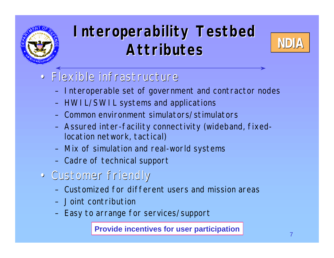

# **Interoperability Testbed Attributes**



### • Flexible infrastructure

- Interoperable set of government and contractor nodes
- HWIL/SWIL systems and applications
- Common environment simulators/stimulators
- Assured inter-facility connectivity (wideband, fixedlocation network, tactical)
- Mix of simulation and real-world systems
- Cadre of technical support
- Customer friendly
	- Customized for different users and mission areas
	- Joint contribution
	- Easy to arrange for services/support

**Provide incentives for user participation**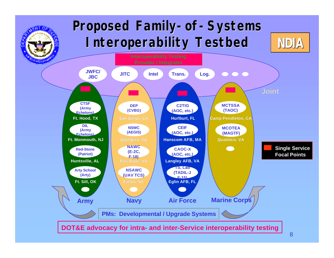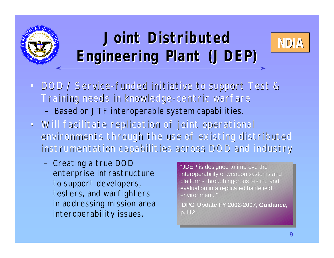

# **Joint Distributed WDIA Engineering Plant (JDEP)**



- DOD / Service-funded initiative to support Test & Training needs in knowledge-centric warfare – Based on JTF interoperable system capabilities.
- Will facilitate replication of joint operational environments through the use of existing distributed instrumentation capabilities across DOD and industry
	- Creating a true DOD enterprise infrastructure to support developers, testers, and warfighters in addressing mission area interoperability issues.

"JDEP is designed to improve the "JDEP is designed to improve the interoperability of weapon systems and platforms through rigorous testing and platforms through rigorous testing and evaluation in a replicated battlefield evaluation in a replicated battlefield environment. " environment. "

 **DPG Update FY 2002-2007, Guidance, DPG Update FY 2002-2007, Guidance, p.112 p.112**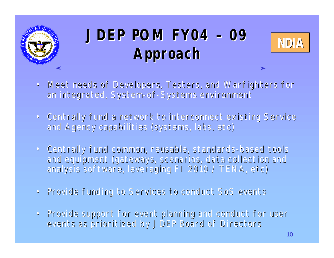

# **NDIA JDEP POM FY04 – 09 Approach**



- Meet needs of Developers, Testers, and Warfighters for an integrated, System-of-Systems environment
- Centrally fund a network to interconnect existing Service and Agency capabilities (systems, labs, etc)
- Centrally fund common, reusable, standards-based tools and equipment (gateways, scenarios, data collection and analysis software, leveraging FI 2010 / TENA, etc)
- Provide funding to Services to conduct SoS events
- Provide support for event planning and conduct for user events as prioritized by JDEP Board of Directors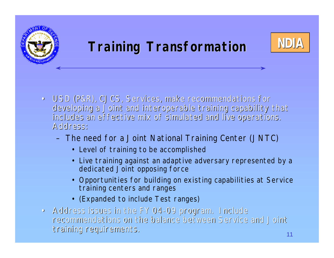



- USD (P&R), CJCS, Services, make recommendations for developing a Joint and interoperable training capability that includes an effective mix of simulated and live operations. Address:
	- The need for a Joint National Training Center (JNTC)
		- Level of training to be accomplished
		- Live training against an adaptive adversary represented by a dedicated Joint opposing force
		- Opportunities for building on existing capabilities at Service training centers and ranges
		- (Expanded to include Test ranges)
- Address issues in the FY 04-09 program. Include recommendations on the balance between Service and Joint training requirements.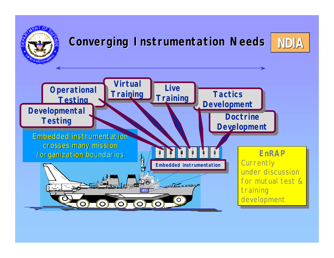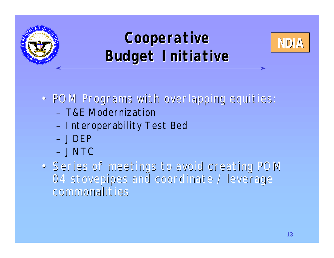

# **Cooperative** MDIA **Budget Initiative**



- POM Programs with overlapping equities:
	- T&E Modernization
	- Interoperability Test Bed
	- JDEP
	- JNTC
- Series of meetings to avoid creating POM 04 stovepipes and coordinate / leverage commonalities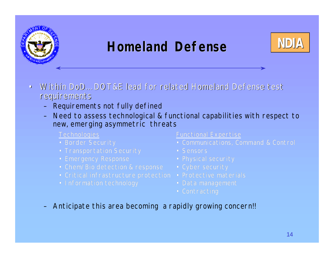

## **Homeland Defense** NDIA



- Within DoD… DOT&E lead for related Homeland Defense test requirements
	- Requirements not fully defined
	- Need to assess technological & functional capabilities with respect to new, emerging asymmetric threats
		- **Technologies**
		-
		-
		-
		-
		-
		-

- 
- 
- 
- 
- 
- 
- 
- Anticipate this area becoming a rapidly growing concern!!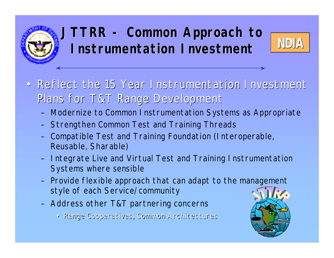## **JTTRR - Common Approach to Instrumentation Investment**



- Reflect the 15 Year Instrumentation Investment Plans for T&T Range Development
	- Modernize to Common Instrumentation Systems as Appropriate
	- Strengthen Common Test and Training Threads
	- Compatible Test and Training Foundation (Interoperable, Reusable, Sharable)
	- Integrate Live and Virtual Test and Training Instrumentation Systems where sensible
	- Provide flexible approach that can adapt to the management style of each Service/community
	- Address other T&T partnering concerns
		- Range Cooperatives, Common Architectures

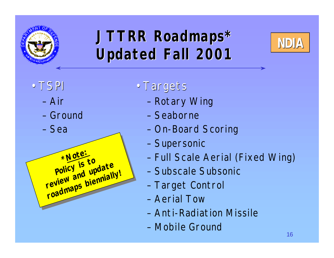

# **JTTRR Roadmaps\* Updated Fall 2001**



- TSPI
	- Air
	- Ground
	- Sea



- Targets
	- Rotary Wing
	- Seaborne
	- On-Board Scoring
	- Supersonic
	- Full Scale Aerial (Fixed Wing)
	- Subscale Subsonic
	- Target Control
	- Aerial Tow
	- Anti-Radiation Missile
	- Mobile Ground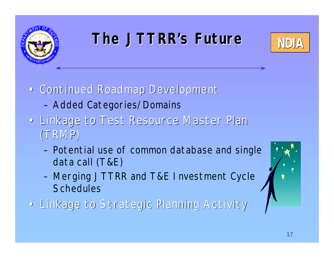

# **The JTTRR's Future MDIA**



- Continued Roadmap Development
	- Added Categories/Domains
- Linkage to Test Resource Master Plan (TRMP)
	- Potential use of common database and single data call (T&E)
	- Merging JTTRR and T&E Investment Cycle **Schedules**
- Linkage to Strategic Planning Activity

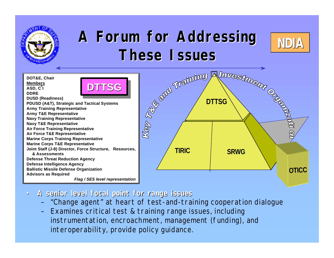

# **A Forum for Addressing These Issues**



**DOT&E, Chair Members ASD, C<sup>3</sup> I DDRE DUSD (Readiness) PDUSD (A&T), Strategic and Tactical Systems Army Training Representative Army T&E Representative Navy Training Representative Navy T&E Representative Air Force Training Representative Air Force T&E Representative Marine Corps Training Representative Marine Corps T&E Representative Joint Staff (J-8) Director, Force Structure, Resources, & Assessments Defense Threat Reduction Agency Defense Intelligence Agency Ballistic Missile Defense Organization Advisors as Required** *Flag / SES level representation* **DTTSG**



- **A senior level focal point for range issues**
	- "Change agent" at heart of test-and-training cooperation dialogue
	- Examines critical test & training range issues, including instrumentation, encroachment, management (funding), and interoperability, provide policy guidance.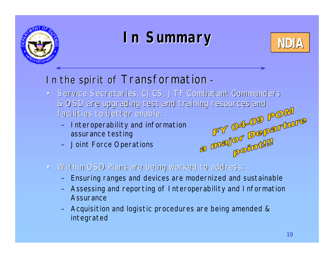

# **In Summary In Summary**



### In the spirit of *Transformation* -

- Service Secretaries, CJCS, JTF Combatant Commanders & OSD are upgrading test and training resources and<br>
facilities to better enable:<br>
- Interoperability and information<br>
assurance testing<br>
- Joint Force Operations<br>
MALLO CONSIDER THE CONDENSITY OF THE CONDENSITY OF THE CON facilities to better enable:
	- Interoperability and information assurance testing
	- Joint Force Operations
- Within OSD Plans are being worked to address:
	- Ensuring ranges and devices are modernized and sustainable
	- Assessing and reporting of Interoperability and Information **Assurance**
	- Acquisition and logistic procedures are being amended & integrated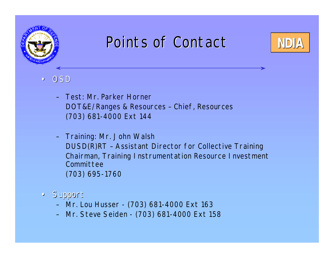

## Points of Contact **NDIA**



- OSD
	- Test: Mr. Parker Horner DOT&E/Ranges & Resources – Chief, Resources (703) 681-4000 Ext 144
	- Training: Mr. John Walsh DUSD(R)RT – Assistant Director for Collective Training Chairman, Training Instrumentation Resource Investment Committee (703) 695-1760
- Support
	- Mr. Lou Husser (703) 681-4000 Ext 163
	- Mr. Steve Seiden (703) 681-4000 Ext 158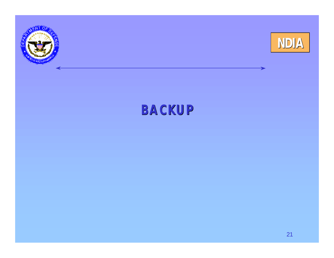



### **BACKUP**

21